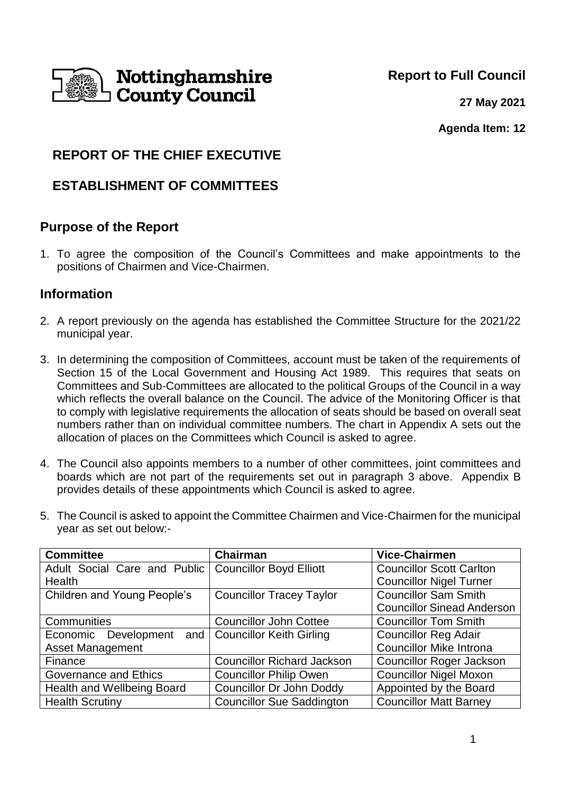

**Report to Full Council**

**27 May 2021**

**Agenda Item: 12**

# **REPORT OF THE CHIEF EXECUTIVE**

# **ESTABLISHMENT OF COMMITTEES**

## **Purpose of the Report**

1. To agree the composition of the Council's Committees and make appointments to the positions of Chairmen and Vice-Chairmen.

## **Information**

- 2. A report previously on the agenda has established the Committee Structure for the 2021/22 municipal year.
- 3. In determining the composition of Committees, account must be taken of the requirements of Section 15 of the Local Government and Housing Act 1989. This requires that seats on Committees and Sub-Committees are allocated to the political Groups of the Council in a way which reflects the overall balance on the Council. The advice of the Monitoring Officer is that to comply with legislative requirements the allocation of seats should be based on overall seat numbers rather than on individual committee numbers. The chart in Appendix A sets out the allocation of places on the Committees which Council is asked to agree.
- 4. The Council also appoints members to a number of other committees, joint committees and boards which are not part of the requirements set out in paragraph 3 above. Appendix B provides details of these appointments which Council is asked to agree.
- 5. The Council is asked to appoint the Committee Chairmen and Vice-Chairmen for the municipal year as set out below:-

| <b>Committee</b>                                    | <b>Chairman</b>                   | <b>Vice-Chairmen</b>              |
|-----------------------------------------------------|-----------------------------------|-----------------------------------|
| Adult Social Care and Public                        | <b>Councillor Boyd Elliott</b>    | <b>Councillor Scott Carlton</b>   |
| <b>Health</b>                                       |                                   | <b>Councillor Nigel Turner</b>    |
| Children and Young People's                         | <b>Councillor Tracey Taylor</b>   | <b>Councillor Sam Smith</b>       |
|                                                     |                                   | <b>Councillor Sinead Anderson</b> |
| Communities                                         | <b>Councillor John Cottee</b>     | <b>Councillor Tom Smith</b>       |
| Economic Development and   Councillor Keith Girling |                                   | <b>Councillor Reg Adair</b>       |
| <b>Asset Management</b>                             |                                   | <b>Councillor Mike Introna</b>    |
| Finance                                             | <b>Councillor Richard Jackson</b> | <b>Councillor Roger Jackson</b>   |
| <b>Governance and Ethics</b>                        | <b>Councillor Philip Owen</b>     | <b>Councillor Nigel Moxon</b>     |
| Health and Wellbeing Board                          | <b>Councillor Dr John Doddy</b>   | Appointed by the Board            |
| <b>Health Scrutiny</b>                              | <b>Councillor Sue Saddington</b>  | <b>Councillor Matt Barney</b>     |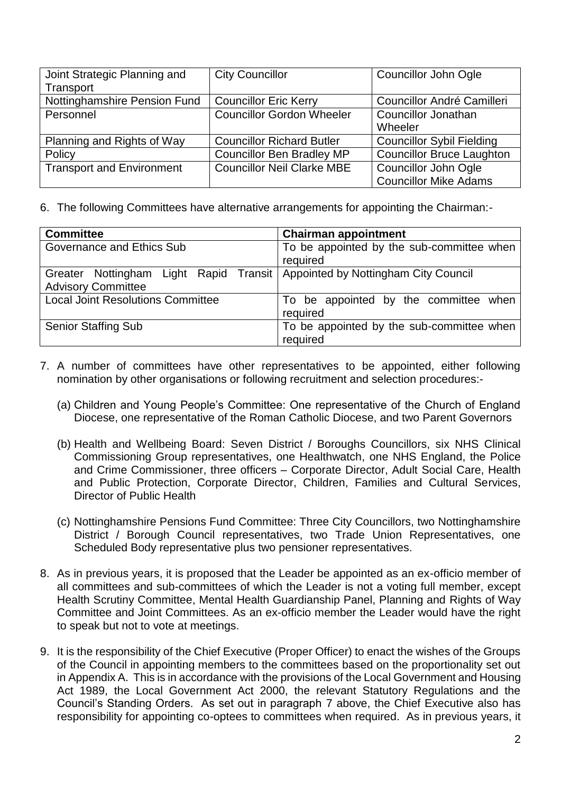| Joint Strategic Planning and     | <b>City Councillor</b>            | Councillor John Ogle             |
|----------------------------------|-----------------------------------|----------------------------------|
| Transport                        |                                   |                                  |
| Nottinghamshire Pension Fund     | <b>Councillor Eric Kerry</b>      | Councillor André Camilleri       |
| Personnel                        | <b>Councillor Gordon Wheeler</b>  | <b>Councillor Jonathan</b>       |
|                                  |                                   | Wheeler                          |
| Planning and Rights of Way       | <b>Councillor Richard Butler</b>  | <b>Councillor Sybil Fielding</b> |
| Policy                           | <b>Councillor Ben Bradley MP</b>  | <b>Councillor Bruce Laughton</b> |
| <b>Transport and Environment</b> | <b>Councillor Neil Clarke MBE</b> | <b>Councillor John Ogle</b>      |
|                                  |                                   | <b>Councillor Mike Adams</b>     |

6. The following Committees have alternative arrangements for appointing the Chairman:-

| <b>Committee</b>                                                                                           | <b>Chairman appointment</b>                           |
|------------------------------------------------------------------------------------------------------------|-------------------------------------------------------|
| Governance and Ethics Sub                                                                                  | To be appointed by the sub-committee when<br>required |
| Greater Nottingham Light Rapid Transit   Appointed by Nottingham City Council<br><b>Advisory Committee</b> |                                                       |
| <b>Local Joint Resolutions Committee</b>                                                                   | To be appointed by the committee when<br>required     |
| <b>Senior Staffing Sub</b>                                                                                 | To be appointed by the sub-committee when<br>required |

- 7. A number of committees have other representatives to be appointed, either following nomination by other organisations or following recruitment and selection procedures:-
	- (a) Children and Young People's Committee: One representative of the Church of England Diocese, one representative of the Roman Catholic Diocese, and two Parent Governors
	- (b) Health and Wellbeing Board: Seven District / Boroughs Councillors, six NHS Clinical Commissioning Group representatives, one Healthwatch, one NHS England, the Police and Crime Commissioner, three officers – Corporate Director, Adult Social Care, Health and Public Protection, Corporate Director, Children, Families and Cultural Services, Director of Public Health
	- (c) Nottinghamshire Pensions Fund Committee: Three City Councillors, two Nottinghamshire District / Borough Council representatives, two Trade Union Representatives, one Scheduled Body representative plus two pensioner representatives.
- 8. As in previous years, it is proposed that the Leader be appointed as an ex-officio member of all committees and sub-committees of which the Leader is not a voting full member, except Health Scrutiny Committee, Mental Health Guardianship Panel, Planning and Rights of Way Committee and Joint Committees. As an ex-officio member the Leader would have the right to speak but not to vote at meetings.
- 9. It is the responsibility of the Chief Executive (Proper Officer) to enact the wishes of the Groups of the Council in appointing members to the committees based on the proportionality set out in Appendix A. This is in accordance with the provisions of the Local Government and Housing Act 1989, the Local Government Act 2000, the relevant Statutory Regulations and the Council's Standing Orders. As set out in paragraph 7 above, the Chief Executive also has responsibility for appointing co-optees to committees when required. As in previous years, it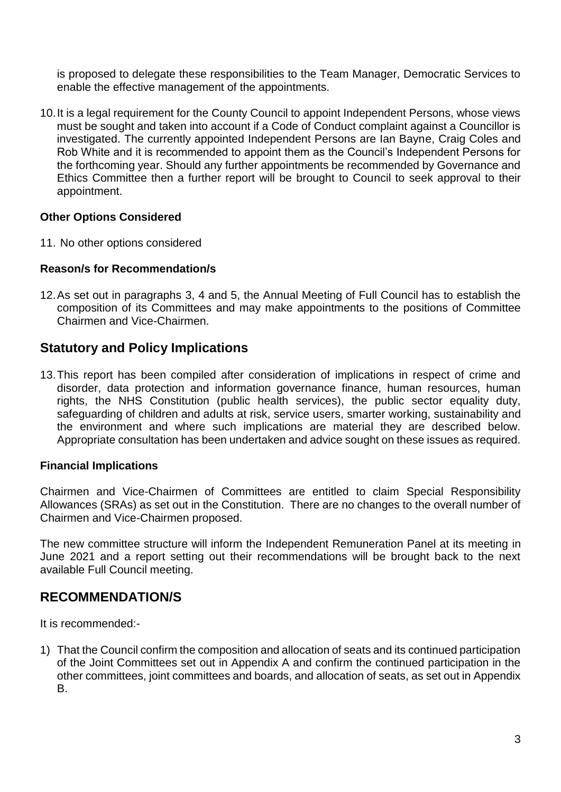is proposed to delegate these responsibilities to the Team Manager, Democratic Services to enable the effective management of the appointments.

10.It is a legal requirement for the County Council to appoint Independent Persons, whose views must be sought and taken into account if a Code of Conduct complaint against a Councillor is investigated. The currently appointed Independent Persons are Ian Bayne, Craig Coles and Rob White and it is recommended to appoint them as the Council's Independent Persons for the forthcoming year. Should any further appointments be recommended by Governance and Ethics Committee then a further report will be brought to Council to seek approval to their appointment.

### **Other Options Considered**

11. No other options considered

#### **Reason/s for Recommendation/s**

12.As set out in paragraphs 3, 4 and 5, the Annual Meeting of Full Council has to establish the composition of its Committees and may make appointments to the positions of Committee Chairmen and Vice-Chairmen.

## **Statutory and Policy Implications**

13.This report has been compiled after consideration of implications in respect of crime and disorder, data protection and information governance finance, human resources, human rights, the NHS Constitution (public health services), the public sector equality duty, safeguarding of children and adults at risk, service users, smarter working, sustainability and the environment and where such implications are material they are described below. Appropriate consultation has been undertaken and advice sought on these issues as required.

#### **Financial Implications**

Chairmen and Vice-Chairmen of Committees are entitled to claim Special Responsibility Allowances (SRAs) as set out in the Constitution. There are no changes to the overall number of Chairmen and Vice-Chairmen proposed.

The new committee structure will inform the Independent Remuneration Panel at its meeting in June 2021 and a report setting out their recommendations will be brought back to the next available Full Council meeting.

## **RECOMMENDATION/S**

It is recommended:-

1) That the Council confirm the composition and allocation of seats and its continued participation of the Joint Committees set out in Appendix A and confirm the continued participation in the other committees, joint committees and boards, and allocation of seats, as set out in Appendix B.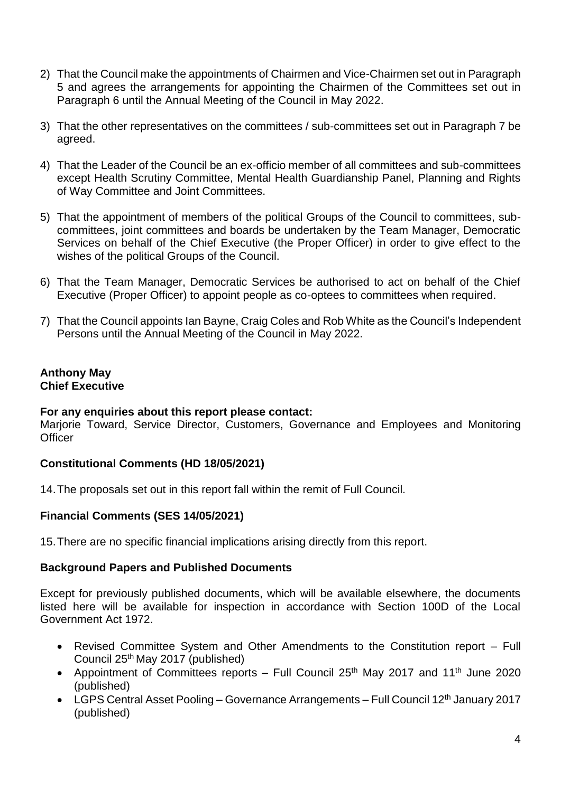- 2) That the Council make the appointments of Chairmen and Vice-Chairmen set out in Paragraph 5 and agrees the arrangements for appointing the Chairmen of the Committees set out in Paragraph 6 until the Annual Meeting of the Council in May 2022.
- 3) That the other representatives on the committees / sub-committees set out in Paragraph 7 be agreed.
- 4) That the Leader of the Council be an ex-officio member of all committees and sub-committees except Health Scrutiny Committee, Mental Health Guardianship Panel, Planning and Rights of Way Committee and Joint Committees.
- 5) That the appointment of members of the political Groups of the Council to committees, subcommittees, joint committees and boards be undertaken by the Team Manager, Democratic Services on behalf of the Chief Executive (the Proper Officer) in order to give effect to the wishes of the political Groups of the Council.
- 6) That the Team Manager, Democratic Services be authorised to act on behalf of the Chief Executive (Proper Officer) to appoint people as co-optees to committees when required.
- 7) That the Council appoints Ian Bayne, Craig Coles and Rob White as the Council's Independent Persons until the Annual Meeting of the Council in May 2022.

#### **Anthony May Chief Executive**

#### **For any enquiries about this report please contact:**

Marjorie Toward, Service Director, Customers, Governance and Employees and Monitoring **Officer** 

## **Constitutional Comments (HD 18/05/2021)**

14.The proposals set out in this report fall within the remit of Full Council.

## **Financial Comments (SES 14/05/2021)**

15.There are no specific financial implications arising directly from this report.

#### **Background Papers and Published Documents**

Except for previously published documents, which will be available elsewhere, the documents listed here will be available for inspection in accordance with Section 100D of the Local Government Act 1972.

- Revised Committee System and Other Amendments to the Constitution report Full Council 25th May 2017 (published)
- Appointment of Committees reports Full Council  $25<sup>th</sup>$  May 2017 and 11<sup>th</sup> June 2020 (published)
- LGPS Central Asset Pooling Governance Arrangements Full Council 12<sup>th</sup> January 2017 (published)